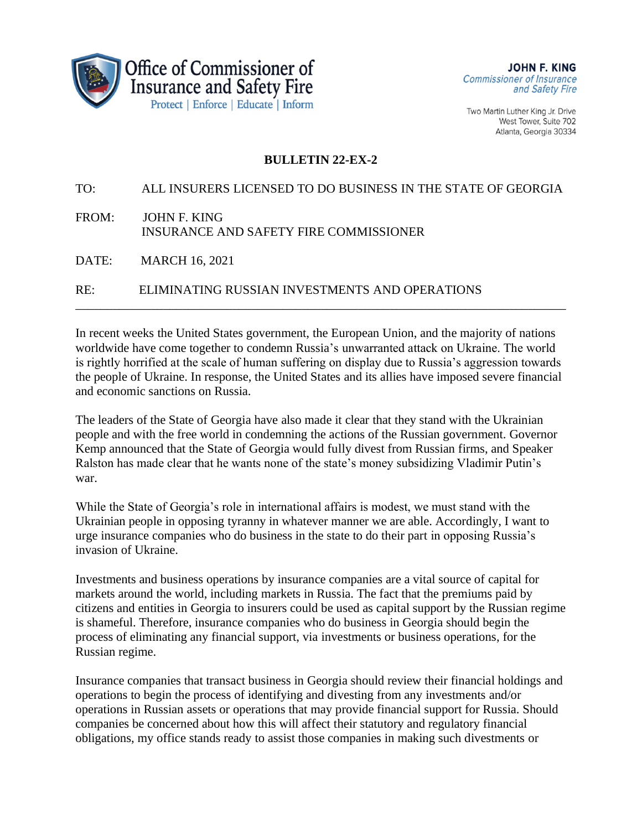

Two Martin Luther King Jr. Drive West Tower, Suite 702 Atlanta, Georgia 30334

## **BULLETIN 22-EX-2**

TO: ALL INSURERS LICENSED TO DO BUSINESS IN THE STATE OF GEORGIA FROM: JOHN F. KING INSURANCE AND SAFETY FIRE COMMISSIONER DATE: MARCH 16, 2021 RE: ELIMINATING RUSSIAN INVESTMENTS AND OPERATIONS

In recent weeks the United States government, the European Union, and the majority of nations worldwide have come together to condemn Russia's unwarranted attack on Ukraine. The world is rightly horrified at the scale of human suffering on display due to Russia's aggression towards the people of Ukraine. In response, the United States and its allies have imposed severe financial and economic sanctions on Russia.

\_\_\_\_\_\_\_\_\_\_\_\_\_\_\_\_\_\_\_\_\_\_\_\_\_\_\_\_\_\_\_\_\_\_\_\_\_\_\_\_\_\_\_\_\_\_\_\_\_\_\_\_\_\_\_\_\_\_\_\_\_\_\_\_\_\_\_\_\_\_\_\_\_\_\_\_\_\_

The leaders of the State of Georgia have also made it clear that they stand with the Ukrainian people and with the free world in condemning the actions of the Russian government. Governor Kemp announced that the State of Georgia would fully divest from Russian firms, and Speaker Ralston has made clear that he wants none of the state's money subsidizing Vladimir Putin's war.

While the State of Georgia's role in international affairs is modest, we must stand with the Ukrainian people in opposing tyranny in whatever manner we are able. Accordingly, I want to urge insurance companies who do business in the state to do their part in opposing Russia's invasion of Ukraine.

Investments and business operations by insurance companies are a vital source of capital for markets around the world, including markets in Russia. The fact that the premiums paid by citizens and entities in Georgia to insurers could be used as capital support by the Russian regime is shameful. Therefore, insurance companies who do business in Georgia should begin the process of eliminating any financial support, via investments or business operations, for the Russian regime.

Insurance companies that transact business in Georgia should review their financial holdings and operations to begin the process of identifying and divesting from any investments and/or operations in Russian assets or operations that may provide financial support for Russia. Should companies be concerned about how this will affect their statutory and regulatory financial obligations, my office stands ready to assist those companies in making such divestments or